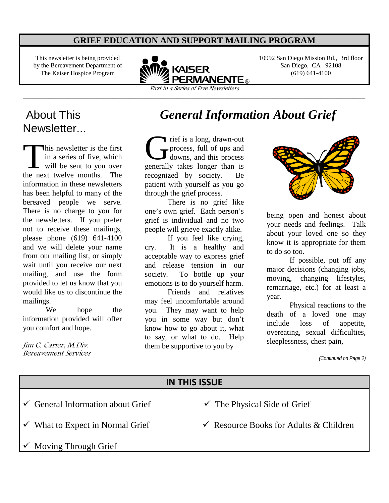## **GRIEF EDUCATION AND SUPPORT MAILING PROGRAM**

This newsletter is being provided by the Bereavement Department of The Kaiser Hospice Program



First in a Series of Five Newsletters \_\_\_\_\_\_\_\_\_\_\_\_\_\_\_\_\_\_\_\_\_\_\_\_\_\_\_\_\_\_\_\_\_\_\_\_\_\_\_\_\_\_\_\_\_\_\_\_\_\_\_\_\_\_\_\_\_\_\_\_\_\_\_\_\_\_\_\_\_\_\_\_\_\_\_\_\_\_\_\_\_\_\_\_\_\_\_\_\_\_\_\_\_\_\_\_\_\_\_\_\_\_\_\_\_\_\_

10992 San Diego Mission Rd., 3rd floor San Diego, CA 92108 (619) 641-4100

# **Newsletter...**

his newsletter is the first in a series of five, which will be sent to you over the next twelve months. The information in these newsletters has been helpful to many of the bereaved people we serve. There is no charge to you for the newsletters. If you prefer not to receive these mailings, please phone (619) 641-4100 and we will delete your name from our mailing list, or simply wait until you receive our next mailing, and use the form provided to let us know that you would like us to discontinue the mailings. This newsletter is the first<br>in a series of five, which<br>will be sent to you over<br>the next twelve months. The

We hope the information provided will offer you comfort and hope.

Jim C. Carter, M.Div. Bereavement Services

# About This *General Information About Grief*

rief is a long, drawn-out process, full of ups and downs, and this process generally takes longer than is recognized by society. Be patient with yourself as you go through the grief process.

There is no grief like one's own grief. Each person's grief is individual and no two people will grieve exactly alike.

If you feel like crying, cry. It is a healthy and acceptable way to express grief and release tension in our society. To bottle up your emotions is to do yourself harm.

Friends and relatives may feel uncomfortable around you. They may want to help you in some way but don't know how to go about it, what to say, or what to do. Help them be supportive to you by



being open and honest about your needs and feelings. Talk about your loved one so they know it is appropriate for them to do so too.

If possible, put off any major decisions (changing jobs, moving, changing lifestyles, remarriage, etc.) for at least a year.

Physical reactions to the death of a loved one may include loss of appetite, overeating, sexual difficulties, sleeplessness, chest pain,

*(Continued on Page 2)*

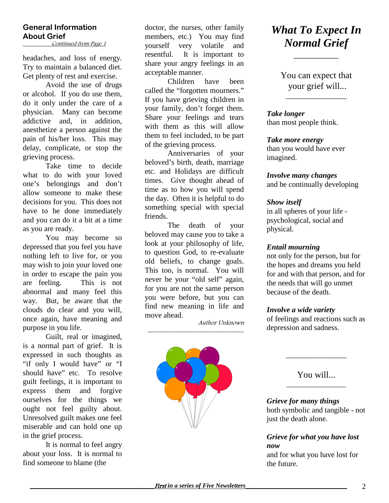## **General Information About Grief**

Continued from Page 1

headaches, and loss of energy. Try to maintain a balanced diet. Get plenty of rest and exercise.

Avoid the use of drugs or alcohol. If you do use them, do it only under the care of a physician. Many can become addictive and, in addition, anesthetize a person against the pain of his/her loss. This may delay, complicate, or stop the grieving process.

Take time to decide what to do with your loved one's belongings and don't allow someone to make these decisions for you. This does not have to be done immediately and you can do it a bit at a time as you are ready.

You may become so depressed that you feel you have nothing left to live for, or you may wish to join your loved one in order to escape the pain you are feeling. This is not abnormal and many feel this way. But, be aware that the clouds do clear and you will, once again, have meaning and purpose in you life.

Guilt, real or imagined, is a normal part of grief. It is expressed in such thoughts as "if only I would have" or "I should have" etc. To resolve guilt feelings, it is important to express them and forgive ourselves for the things we ought not feel guilty about. Unresolved guilt makes one feel miserable and can hold one up in the grief process.

It is normal to feel angry about your loss. It is normal to find someone to blame (the

doctor, the nurses, other family members, etc.) You may find yourself very volatile and resentful. It is important to share your angry feelings in an acceptable manner.

Children have been called the "forgotten mourners." If you have grieving children in your family, don't forget them. Share your feelings and tears with them as this will allow them to feel included, to be part of the grieving process.

Anniversaries of your beloved's birth, death, marriage etc. and Holidays are difficult times. Give thought ahead of time as to how you will spend the day. Often it is helpful to do something special with special friends.

The death of your beloved may cause you to take a look at your philosophy of life, to question God, to re-evaluate old beliefs, to change goals. This too, is normal. You will never be your "old self" again, for you are not the same person you were before, but you can find new meaning in life and move ahead.

Author Unknown \_\_\_\_\_\_\_\_\_\_\_\_\_\_\_\_\_\_\_\_\_\_\_\_\_\_\_\_\_\_



# *What To Expect In Normal Grief*

\_\_\_\_\_\_\_\_\_\_

You can expect that your grief will...

\_\_\_\_\_\_\_\_\_\_\_\_\_\_\_\_

#### *Take longer*

than most people think.

#### *Take more energy*

than you would have ever imagined.

#### *Involve many changes*

and be continually developing

#### *Show itself*

in all spheres of your life psychological, social and physical.

#### *Entail mourning*

not only for the person, but for the hopes and dreams you held for and with that person, and for the needs that will go unmet because of the death.

#### *Involve a wide variety*

of feelings and reactions such as depression and sadness.

> You will... \_\_\_\_\_\_\_\_\_\_\_\_\_\_\_\_\_

\_\_\_\_\_\_\_\_\_\_\_\_\_\_\_\_

#### *Grieve for many things*

both symbolic and tangible - not just the death alone.

# *Grieve for what you have lost now*

and for what you have lost for the future.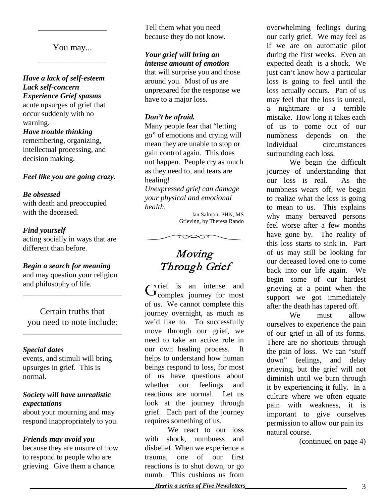# You may... \_\_\_\_\_\_\_\_\_\_\_\_\_\_\_

\_\_\_\_\_\_\_\_\_\_\_\_\_\_\_\_\_\_

#### *Have a lack of self-esteem Lack self-concern Experience Grief spasms*

acute upsurges of grief that occur suddenly with no warning.

*Have trouble thinking*  remembering, organizing, intellectual processing, and decision making.

#### *Feel like you are going crazy.*

#### *Be obsessed*

with death and preoccupied with the deceased.

#### *Find yourself*

acting socially in ways that are different than before.

#### *Begin a search for meaning*

and may question your religion and philosophy of life.

\_\_\_\_\_\_\_\_\_\_\_\_\_\_\_\_\_\_\_\_\_\_\_\_\_\_

Certain truths that you need to note include:

\_\_\_\_\_\_\_\_\_\_\_\_\_\_\_\_\_\_\_\_\_\_\_\_\_\_

#### *Special dates*

events, and stimuli will bring upsurges in grief. This is normal.

#### *Society will have unrealistic expectations*

about your mourning and may respond inappropriately to you.

#### *Friends may avoid you*

because they are unsure of how to respond to people who are grieving. Give them a chance.

Tell them what you need because they do not know.

#### *Your grief will bring an intense amount of emotion*

that will surprise you and those around you. Most of us are unprepared for the response we have to a major loss.

#### *Don't be afraid.*

Many people fear that "letting go" of emotions and crying will mean they are unable to stop or gain control again. This does not happen. People cry as much as they need to, and tears are healing!

*Unexpressed grief can damage your physical and emotional health*.

Jan Salmon, PHN, MS Grieving, by Theresa Rando



# Moving Through Grief

rief is an intense and  $G_{complex\ journey\ for\ most}$ of us. We cannot complete this journey overnight, as much as we'd like to. To successfully move through our grief, we need to take an active role in our own healing process. It helps to understand how human beings respond to loss, for most of us have questions about whether our feelings and reactions are normal. Let us look at the journey through grief. Each part of the journey requires something of us.

We react to our loss with shock, numbness and disbelief. When we experience a trauma, one of our first reactions is to shut down, or go numb. This cushions us from

overwhelming feelings during our early grief. We may feel as if we are on automatic pilot during the first weeks. Even an expected death is a shock. We just can't know how a particular loss is going to feel until the loss actually occurs. Part of us may feel that the loss is unreal, a nightmare or a terrible mistake. How long it takes each of us to come out of our numbness depends on the individual circumstances surrounding each loss.

We begin the difficult journey of understanding that our loss is real. As the numbness wears off, we begin to realize what the loss is going to mean to us. This explains why many bereaved persons feel worse after a few months have gone by. The reality of this loss starts to sink in. Part of us may still be looking for our deceased loved one to come back into our life again. We begin some of our hardest grieving at a point when the support we got immediately after the death has tapered off.

We must allow ourselves to experience the pain of our grief in all of its forms. There are no shortcuts through the pain of loss. We can "stuff down" feelings, and delay grieving, but the grief will not diminish until we burn through it by experiencing it fully. In a culture where we often equate pain with weakness, it is important to give ourselves permission to allow our pain its natural course.

(continued on page 4)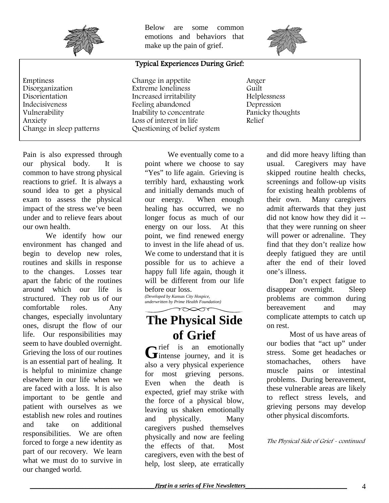

Below are some common emotions and behaviors that make up the pain of grief.



#### Typical Experiences During Grief:

Emptiness Disorganization Disorientation Indecisiveness Vulnerability Anxiety Change in sleep patterns Change in appetite Extreme loneliness Increased irritability Feeling abandoned Inability to concentrate Loss of interest in life Questioning of belief system Anger Guilt Helplessness Depression Panicky thoughts Relief

Pain is also expressed through our physical body. It is common to have strong physical reactions to grief. It is always a sound idea to get a physical exam to assess the physical impact of the stress we've been under and to relieve fears about our own health.

We identify how our environment has changed and begin to develop new roles, routines and skills in response to the changes. Losses tear apart the fabric of the routines around which our life is structured. They rob us of our comfortable roles. Any changes, especially involuntary ones, disrupt the flow of our life. Our responsibilities may seem to have doubled overnight. Grieving the loss of our routines is an essential part of healing. It is helpful to minimize change elsewhere in our life when we are faced with a loss. It is also important to be gentle and patient with ourselves as we establish new roles and routines and take on additional responsibilities. We are often forced to forge a new identity as part of our recovery. We learn what we must do to survive in our changed world.

We eventually come to a point where we choose to say "Yes" to life again. Grieving is terribly hard, exhausting work and initially demands much of our energy. When enough healing has occurred, we no longer focus as much of our energy on our loss. At this point, we find renewed energy to invest in the life ahead of us. We come to understand that it is possible for us to achieve a happy full life again, though it will be different from our life before our loss.

*(Developed by Kansas City Hospice, underwritten by Prime Health Foundation)* 

# **The Physical Side of Grief**

 $\gamma \sim 1$ 

 $\rightarrow$  rief is an emotionally Gintense journey, and it is also a very physical experience for most grieving persons. Even when the death is expected, grief may strike with the force of a physical blow, leaving us shaken emotionally and physically. Many caregivers pushed themselves physically and now are feeling the effects of that. Most caregivers, even with the best of help, lost sleep, ate erratically

and did more heavy lifting than usual. Caregivers may have skipped routine health checks, screenings and follow-up visits for existing health problems of their own. Many caregivers admit afterwards that they just did not know how they did it - that they were running on sheer will power or adrenaline. They find that they don't realize how deeply fatigued they are until after the end of their loved one's illness.

Don't expect fatigue to disappear overnight. Sleep problems are common during bereavement and may complicate attempts to catch up on rest.

Most of us have areas of our bodies that "act up" under stress. Some get headaches or stomachaches, others have muscle pains or intestinal problems. During bereavement, these vulnerable areas are likely to reflect stress levels, and grieving persons may develop other physical discomforts.

The Physical Side of Grief - continued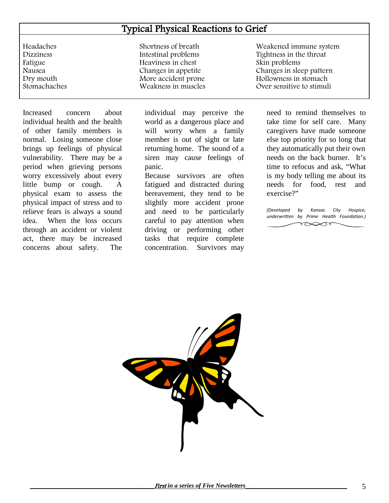# Typical Physical Reactions to Grief

Headaches Dizziness Fatigue Nausea Dry mouth Stomachaches

Shortness of breath Intestinal problems Heaviness in chest Changes in appetite More accident prone Weakness in muscles

Weakened immune system Tightness in the throat Skin problems Changes in sleep pattern Hollowness in stomach Over sensitive to stimuli

Increased concern about individual health and the health of other family members is normal. Losing someone close brings up feelings of physical vulnerability. There may be a period when grieving persons worry excessively about every little bump or cough. A physical exam to assess the physical impact of stress and to relieve fears is always a sound idea. When the loss occurs through an accident or violent act, there may be increased concerns about safety. The

individual may perceive the world as a dangerous place and will worry when a family member is out of sight or late returning home. The sound of a siren may cause feelings of panic.

Because survivors are often fatigued and distracted during bereavement, they tend to be slightly more accident prone and need to be particularly careful to pay attention when driving or performing other tasks that require complete concentration. Survivors may

need to remind themselves to take time for self care. Many caregivers have made someone else top priority for so long that they automatically put their own needs on the back burner. It's time to refocus and ask, "What is my body telling me about its needs for food, rest and exercise?"

*(Developed by Kansas City Hospice, underwritten by Prime Health Foundation.)* $\sim$ 

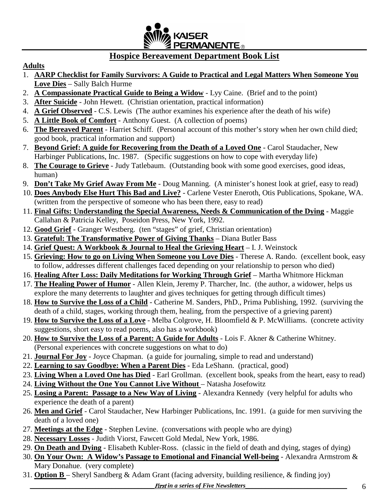

# **Hospice Bereavement Department Book List**

### **Adults**

- 1. **AARP Checklist for Family Survivors: A Guide to Practical and Legal Matters When Someone You Love Dies** – Sally Balch Hurme
- 2. **A Compassionate Practical Guide to Being a Widow** Lyy Caine. (Brief and to the point)
- 3. **After Suicide** John Hewett. (Christian orientation, practical information)
- 4. **A Grief Observed** C.S. Lewis (The author examines his experience after the death of his wife)
- 5. **A Little Book of Comfort** Anthony Guest. (A collection of poems)
- 6. **The Bereaved Parent** Harriet Schiff. (Personal account of this mother's story when her own child died; good book, practical information and support)
- 7. **Beyond Grief: A guide for Recovering from the Death of a Loved One** Carol Staudacher, New Harbinger Publications, Inc. 1987. (Specific suggestions on how to cope with everyday life)
- 8. **The Courage to Grieve** Judy Tatlebaum. (Outstanding book with some good exercises, good ideas, human)
- 9. **Don't Take My Grief Away From Me** Doug Manning. (A minister's honest look at grief, easy to read)
- 10. **Does Anybody Else Hurt This Bad and Live?** Carlene Vester Eneroth, Otis Publications, Spokane, WA. (written from the perspective of someone who has been there, easy to read)
- 11. **Final Gifts: Understanding the Special Awareness, Needs & Communication of the Dying** Maggie Callahan & Patricia Kelley, Poseidon Press, New York, 1992.
- 12. **Good Grief** Granger Westberg. (ten "stages" of grief, Christian orientation)
- 13. **Grateful: The Transformative Power of Giving Thanks** Diana Butler Bass
- 14. **Grief Quest: A Workbook & Journal to Heal the Grieving Heart** I. J. Weinstock
- 15. **Grieving: How to go on Living When Someone you Love Dies** Therese A. Rando. (excellent book, easy to follow, addresses different challenges faced depending on your relationship to person who died)
- 16. **Healing After Loss: Daily Meditations for Working Through Grief** Martha Whitmore Hickman
- 17. **The Healing Power of Humor** Allen Klein, Jeremy P. Tharcher, Inc. (the author, a widower, helps us explore the many deterrents to laughter and gives techniques for getting through difficult times)
- 18. **How to Survive the Loss of a Child** Catherine M. Sanders, PhD., Prima Publishing, 1992. (surviving the death of a child, stages, working through them, healing, from the perspective of a grieving parent)
- 19. **How to Survive the Loss of a Love** Melba Colgrove, H. Bloomfield & P. McWilliams. (concrete activity suggestions, short easy to read poems, also has a workbook)
- 20. **How to Survive the Loss of a Parent: A Guide for Adults** Lois F. Akner & Catherine Whitney. (Personal experiences with concrete suggestions on what to do)
- 21. **Journal For Joy** Joyce Chapman. (a guide for journaling, simple to read and understand)
- 22. **Learning to say Goodbye: When a Parent Dies** Eda LeShann. (practical, good)
- 23. **Living When a Loved One has Died** Earl Grollman. (excellent book, speaks from the heart, easy to read)
- 24. Living Without the One You Cannot Live Without Natasha Josefowitz
- 25. **Losing a Parent: Passage to a New Way of Living** Alexandra Kennedy (very helpful for adults who experience the death of a parent)
- 26. **Men and Grief** Carol Staudacher, New Harbinger Publications, Inc. 1991. (a guide for men surviving the death of a loved one)
- 27. **Meetings at the Edge** Stephen Levine. (conversations with people who are dying)
- 28. **Necessary Losses** Judith Viorst, Fawcett Gold Medal, New York, 1986.
- 29. **On Death and Dying** Elisabeth Kubler-Ross. (classic in the field of death and dying, stages of dying)
- 30. **On Your Own: A Widow's Passage to Emotional and Financial Well-being** Alexandra Armstrom & Mary Donahue. (very complete)
- 31. **Option B**  Sheryl Sandberg & Adam Grant (facing adversity, building resilience, & finding joy)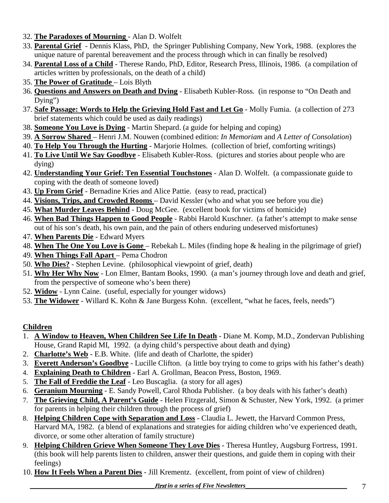- 32. **The Paradoxes of Mourning**  Alan D. Wolfelt
- 33. **Parental Grief** Dennis Klass, PhD, the Springer Publishing Company, New York, 1988. (explores the unique nature of parental bereavement and the process through which in can finally be resolved)
- 34. **Parental Loss of a Child** Therese Rando, PhD, Editor, Research Press, Illinois, 1986. (a compilation of articles written by professionals, on the death of a child)
- 35. **The Power of Gratitude**  Lois Blyth
- 36. **Questions and Answers on Death and Dying** Elisabeth Kubler-Ross. (in response to "On Death and Dying")
- 37. **Safe Passage: Words to Help the Grieving Hold Fast and Let Go** Molly Fumia. (a collection of 273 brief statements which could be used as daily readings)
- 38. **Someone You Love is Dying** Martin Shepard. (a guide for helping and coping)
- 39. **A Sorrow Shared**  Henri J.M. Nouwen (combined edition: *In Memoriam* and *A Letter of Consolation*)
- 40. **To Help You Through the Hurting** Marjorie Holmes. (collection of brief, comforting writings)
- 41. **To Live Until We Say Goodbye** Elisabeth Kubler-Ross. (pictures and stories about people who are dying)
- 42. **Understanding Your Grief: Ten Essential Touchstones** Alan D. Wolfelt. (a compassionate guide to coping with the death of someone loved)
- 43. **Up From Grief** Bernadine Kries and Alice Pattie. (easy to read, practical)
- 44. **Visions, Trips, and Crowded Rooms**  David Kessler (who and what you see before you die)
- 45. **What Murder Leaves Behind** Doug McGee. (excellent book for victims of homicide)
- 46. **When Bad Things Happen to Good People** Rabbi Harold Kuschner. (a father's attempt to make sense out of his son's death, his own pain, and the pain of others enduring undeserved misfortunes)
- 47. **When Parents Die** Edward Myers
- 48. **When The One You Love is Gone**  Rebekah L. Miles (finding hope & healing in the pilgrimage of grief)
- 49. **When Things Fall Apart**  Pema Chodron
- 50. **Who Dies?** Stephen Levine. (philosophical viewpoint of grief, death)
- 51. **Why Her Why Now** Lon Elmer, Bantam Books, 1990. (a man's journey through love and death and grief, from the perspective of someone who's been there)
- 52. **Widow** Lynn Caine. (useful, especially for younger widows)
- 53. **The Widower** Willard K. Kohn & Jane Burgess Kohn. (excellent, "what he faces, feels, needs")

## **Children**

- 1. **A Window to Heaven, When Children See Life In Death** Diane M. Komp, M.D., Zondervan Publishing House, Grand Rapid MI, 1992. (a dying child's perspective about death and dying)
- 2. **Charlotte's Web** E.B. White. (life and death of Charlotte, the spider)
- 3. **Everett Anderson's Goodbye** Lucille Clifton. (a little boy trying to come to grips with his father's death)
- 4. **Explaining Death to Children** Earl A. Grollman, Beacon Press, Boston, 1969.
- 5. **The Fall of Freddie the Leaf** Leo Buscaglia. (a story for all ages)
- 6. **Geranium Mourning** E. Sandy Powell, Carol Rhoda Publisher. (a boy deals with his father's death)
- 7. **The Grieving Child, A Parent's Guide** Helen Fitzgerald, Simon & Schuster, New York, 1992. (a primer for parents in helping their children through the process of grief)
- 8. **Helping Children Cope with Separation and Loss** Claudia L. Jewett, the Harvard Common Press, Harvard MA, 1982. (a blend of explanations and strategies for aiding children who've experienced death, divorce, or some other alteration of family structure)
- 9. **Helping Children Grieve When Someone They Love Dies** Theresa Huntley, Augsburg Fortress, 1991. (this book will help parents listen to children, answer their questions, and guide them in coping with their feelings)
- 10. **How It Feels When a Parent Dies** Jill Krementz. (excellent, from point of view of children)